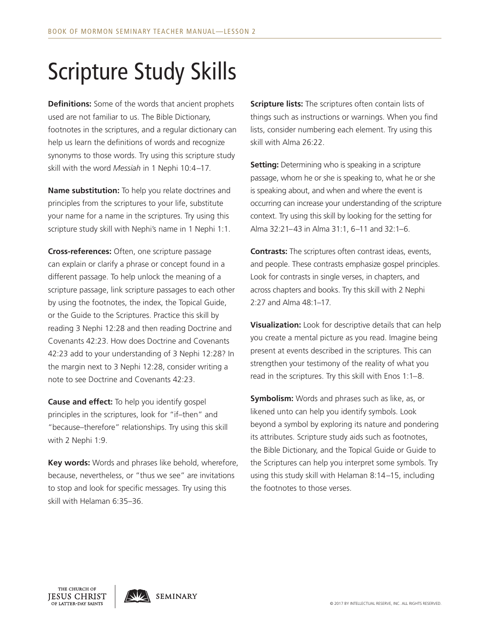## Scripture Study Skills

**Definitions:** Some of the words that ancient prophets used are not familiar to us. The Bible Dictionary, footnotes in the scriptures, and a regular dictionary can help us learn the definitions of words and recognize synonyms to those words. Try using this scripture study skill with the word *Messiah* in 1 Nephi 10:4–17.

**Name substitution:** To help you relate doctrines and principles from the scriptures to your life, substitute your name for a name in the scriptures. Try using this scripture study skill with Nephi's name in 1 Nephi 1:1.

**Cross-references:** Often, one scripture passage can explain or clarify a phrase or concept found in a different passage. To help unlock the meaning of a scripture passage, link scripture passages to each other by using the footnotes, the index, the Topical Guide, or the Guide to the Scriptures. Practice this skill by reading 3 Nephi 12:28 and then reading Doctrine and Covenants 42:23. How does Doctrine and Covenants 42:23 add to your understanding of 3 Nephi 12:28? In the margin next to 3 Nephi 12:28, consider writing a note to see Doctrine and Covenants 42:23.

**Cause and effect:** To help you identify gospel principles in the scriptures, look for "if–then" and "because–therefore" relationships. Try using this skill with 2 Nephi 1:9.

**Key words:** Words and phrases like behold, wherefore, because, nevertheless, or "thus we see" are invitations to stop and look for specific messages. Try using this skill with Helaman 6:35–36.

**Scripture lists:** The scriptures often contain lists of things such as instructions or warnings. When you find lists, consider numbering each element. Try using this skill with Alma 26:22.

**Setting:** Determining who is speaking in a scripture passage, whom he or she is speaking to, what he or she is speaking about, and when and where the event is occurring can increase your understanding of the scripture context. Try using this skill by looking for the setting for Alma 32:21–43 in Alma 31:1, 6–11 and 32:1–6.

**Contrasts:** The scriptures often contrast ideas, events, and people. These contrasts emphasize gospel principles. Look for contrasts in single verses, in chapters, and across chapters and books. Try this skill with 2 Nephi 2:27 and Alma 48:1–17.

**Visualization:** Look for descriptive details that can help you create a mental picture as you read. Imagine being present at events described in the scriptures. This can strengthen your testimony of the reality of what you read in the scriptures. Try this skill with Enos 1:1–8.

**Symbolism:** Words and phrases such as like, as, or likened unto can help you identify symbols. Look beyond a symbol by exploring its nature and pondering its attributes. Scripture study aids such as footnotes, the Bible Dictionary, and the Topical Guide or Guide to the Scriptures can help you interpret some symbols. Try using this study skill with Helaman 8:14–15, including the footnotes to those verses.